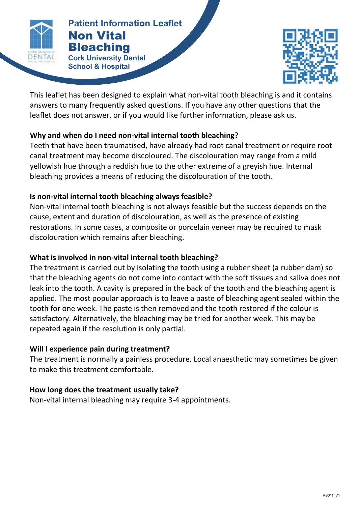

#### **Patient Information Leaflet NON-VITAL BLEACHING Patient Information Leaflet** Non Vital Bleaching

**Cork University Dental School & Hospital**



This leaflet has been designed to explain what non-vital tooth bleaching is and it contains answers to many frequently asked questions. If you have any other questions that the leaflet does not answer, or if you would like further information, please ask us.

# **Why and when do I need non-vital internal tooth bleaching?**

Teeth that have been traumatised, have already had root canal treatment or require root canal treatment may become discoloured. The discolouration may range from a mild yellowish hue through a reddish hue to the other extreme of a greyish hue. Internal bleaching provides a means of reducing the discolouration of the tooth.

#### **Is non-vital internal tooth bleaching always feasible?**

Non-vital internal tooth bleaching is not always feasible but the success depends on the cause, extent and duration of discolouration, as well as the presence of existing restorations. In some cases, a composite or porcelain veneer may be required to mask discolouration which remains after bleaching.

# **What is involved in non-vital internal tooth bleaching?**

The treatment is carried out by isolating the tooth using a rubber sheet (a rubber dam) so that the bleaching agents do not come into contact with the soft tissues and saliva does not leak into the tooth. A cavity is prepared in the back of the tooth and the bleaching agent is applied. The most popular approach is to leave a paste of bleaching agent sealed within the tooth for one week. The paste is then removed and the tooth restored if the colour is satisfactory. Alternatively, the bleaching may be tried for another week. This may be repeated again if the resolution is only partial.

# **Will I experience pain during treatment?**

The treatment is normally a painless procedure. Local anaesthetic may sometimes be given to make this treatment comfortable.

# **How long does the treatment usually take?**

Non-vital internal bleaching may require 3-4 appointments.